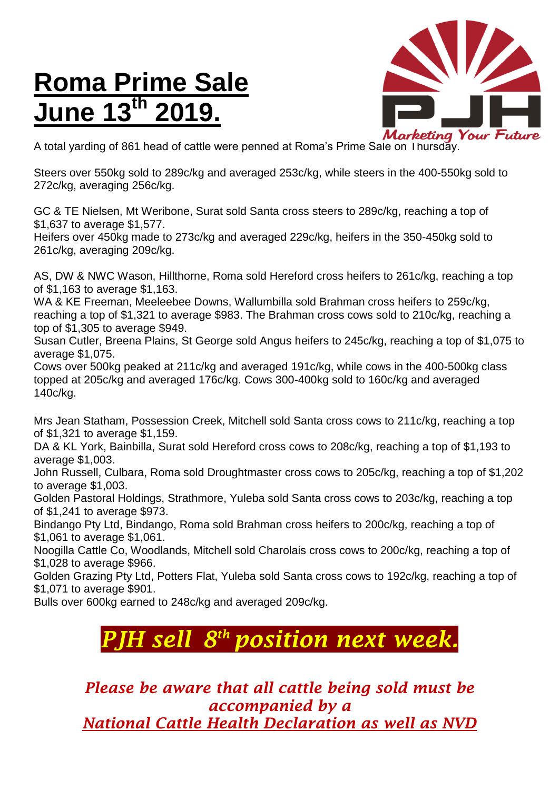## **Roma Prime Sale June 13 th 2019.**



A total yarding of 861 head of cattle were penned at Roma's Prime Sale on Thursday.

Steers over 550kg sold to 289c/kg and averaged 253c/kg, while steers in the 400-550kg sold to 272c/kg, averaging 256c/kg.

GC & TE Nielsen, Mt Weribone, Surat sold Santa cross steers to 289c/kg, reaching a top of \$1,637 to average \$1,577.

Heifers over 450kg made to 273c/kg and averaged 229c/kg, heifers in the 350-450kg sold to 261c/kg, averaging 209c/kg.

AS, DW & NWC Wason, Hillthorne, Roma sold Hereford cross heifers to 261c/kg, reaching a top of \$1,163 to average \$1,163.

WA & KE Freeman, Meeleebee Downs, Wallumbilla sold Brahman cross heifers to 259c/kg, reaching a top of \$1,321 to average \$983. The Brahman cross cows sold to 210c/kg, reaching a top of \$1,305 to average \$949.

Susan Cutler, Breena Plains, St George sold Angus heifers to 245c/kg, reaching a top of \$1,075 to average \$1,075.

Cows over 500kg peaked at 211c/kg and averaged 191c/kg, while cows in the 400-500kg class topped at 205c/kg and averaged 176c/kg. Cows 300-400kg sold to 160c/kg and averaged 140c/kg.

Mrs Jean Statham, Possession Creek, Mitchell sold Santa cross cows to 211c/kg, reaching a top of \$1,321 to average \$1,159.

DA & KL York, Bainbilla, Surat sold Hereford cross cows to 208c/kg, reaching a top of \$1,193 to average \$1,003.

John Russell, Culbara, Roma sold Droughtmaster cross cows to 205c/kg, reaching a top of \$1,202 to average \$1,003.

Golden Pastoral Holdings, Strathmore, Yuleba sold Santa cross cows to 203c/kg, reaching a top of \$1,241 to average \$973.

Bindango Pty Ltd, Bindango, Roma sold Brahman cross heifers to 200c/kg, reaching a top of \$1,061 to average \$1,061.

Noogilla Cattle Co, Woodlands, Mitchell sold Charolais cross cows to 200c/kg, reaching a top of \$1,028 to average \$966.

Golden Grazing Pty Ltd, Potters Flat, Yuleba sold Santa cross cows to 192c/kg, reaching a top of \$1,071 to average \$901.

Bulls over 600kg earned to 248c/kg and averaged 209c/kg.

## *PJH sell 8 th position next week.*

*Please be aware that all cattle being sold must be accompanied by a National Cattle Health Declaration as well as NVD*